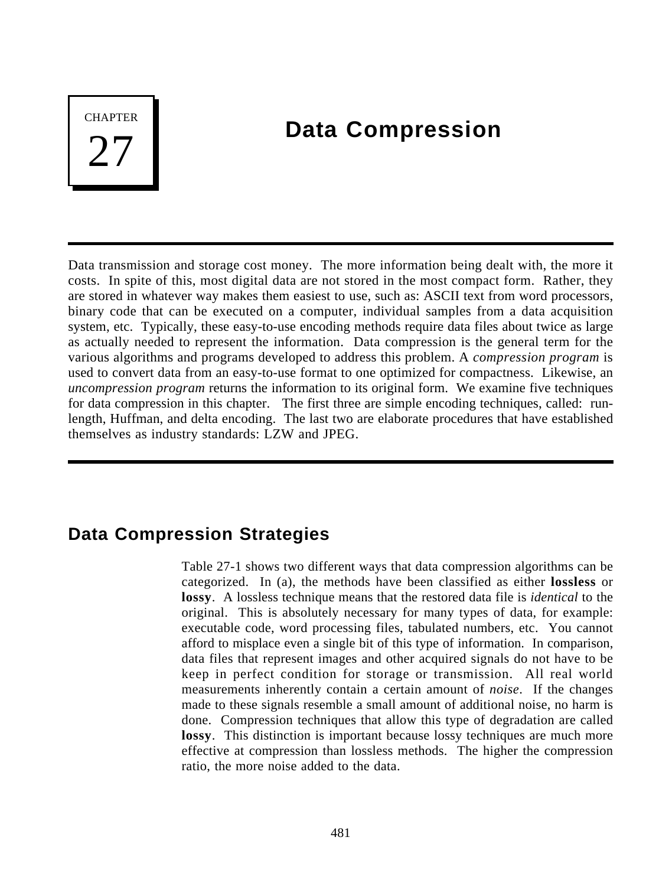# **CHAPTER**

# **Data Compression**

Data transmission and storage cost money. The more information being dealt with, the more it costs. In spite of this, most digital data are not stored in the most compact form. Rather, they are stored in whatever way makes them easiest to use, such as: ASCII text from word processors, binary code that can be executed on a computer, individual samples from a data acquisition system, etc. Typically, these easy-to-use encoding methods require data files about twice as large as actually needed to represent the information. Data compression is the general term for the various algorithms and programs developed to address this problem. A *compression program* is used to convert data from an easy-to-use format to one optimized for compactness. Likewise, an *uncompression program* returns the information to its original form. We examine five techniques for data compression in this chapter. The first three are simple encoding techniques, called: runlength, Huffman, and delta encoding. The last two are elaborate procedures that have established themselves as industry standards: LZW and JPEG.

# **Data Compression Strategies**

Table 27-1 shows two different ways that data compression algorithms can be categorized. In (a), the methods have been classified as either **lossless** or **lossy**. A lossless technique means that the restored data file is *identical* to the original. This is absolutely necessary for many types of data, for example: executable code, word processing files, tabulated numbers, etc. You cannot afford to misplace even a single bit of this type of information. In comparison, data files that represent images and other acquired signals do not have to be keep in perfect condition for storage or transmission. All real world measurements inherently contain a certain amount of *noise*. If the changes made to these signals resemble a small amount of additional noise, no harm is done. Compression techniques that allow this type of degradation are called **lossy**. This distinction is important because lossy techniques are much more effective at compression than lossless methods. The higher the compression ratio, the more noise added to the data.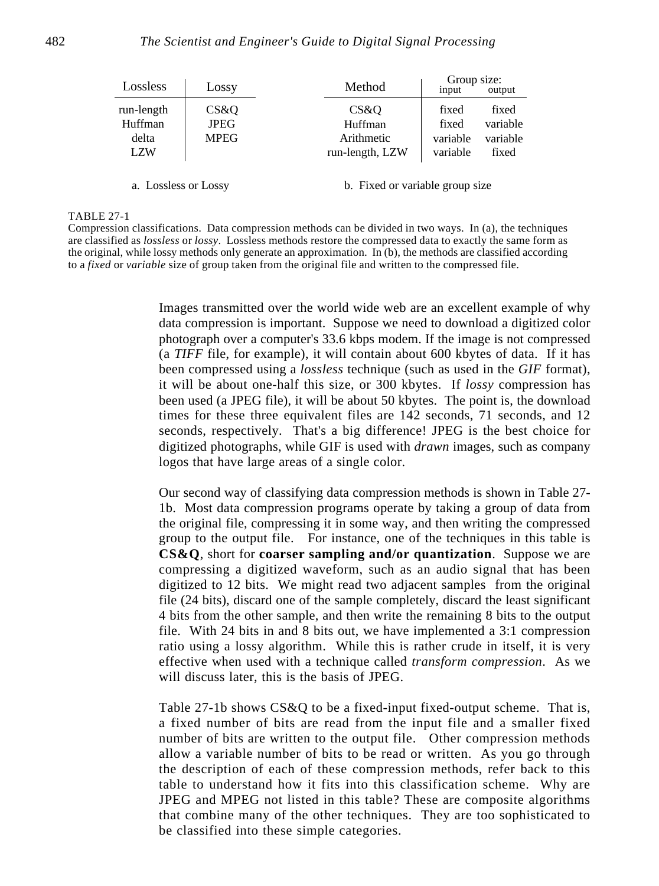| Lossless                                     | Method<br>Lossy                    |                                                  |                                 | Group size:<br>input                   | output                                 |
|----------------------------------------------|------------------------------------|--------------------------------------------------|---------------------------------|----------------------------------------|----------------------------------------|
| run-length<br>Huffman<br>delta<br><b>LZW</b> | CS&Q<br><b>JPEG</b><br><b>MPEG</b> | CS&O<br>Huffman<br>Arithmetic<br>run-length, LZW |                                 | fixed<br>fixed<br>variable<br>variable | fixed<br>variable<br>variable<br>fixed |
| a. Lossless or Lossy                         |                                    |                                                  | b. Fixed or variable group size |                                        |                                        |

### TABLE 27-1

Compression classifications. Data compression methods can be divided in two ways. In (a), the techniques are classified as *lossless* or *lossy*. Lossless methods restore the compressed data to exactly the same form as the original, while lossy methods only generate an approximation. In (b), the methods are classified according to a *fixed* or *variable* size of group taken from the original file and written to the compressed file.

> Images transmitted over the world wide web are an excellent example of why data compression is important. Suppose we need to download a digitized color photograph over a computer's 33.6 kbps modem. If the image is not compressed (a *TIFF* file, for example), it will contain about 600 kbytes of data. If it has been compressed using a *lossless* technique (such as used in the *GIF* format), it will be about one-half this size, or 300 kbytes. If *lossy* compression has been used (a JPEG file), it will be about 50 kbytes. The point is, the download times for these three equivalent files are 142 seconds, 71 seconds, and 12 seconds, respectively. That's a big difference! JPEG is the best choice for digitized photographs, while GIF is used with *drawn* images, such as company logos that have large areas of a single color.

> Our second way of classifying data compression methods is shown in Table 27- 1b. Most data compression programs operate by taking a group of data from the original file, compressing it in some way, and then writing the compressed group to the output file. For instance, one of the techniques in this table is **CS&Q**, short for **coarser sampling and/or quantization**. Suppose we are compressing a digitized waveform, such as an audio signal that has been digitized to 12 bits. We might read two adjacent samples from the original file (24 bits), discard one of the sample completely, discard the least significant 4 bits from the other sample, and then write the remaining 8 bits to the output file. With 24 bits in and 8 bits out, we have implemented a 3:1 compression ratio using a lossy algorithm. While this is rather crude in itself, it is very effective when used with a technique called *transform compression*. As we will discuss later, this is the basis of JPEG.

> Table 27-1b shows CS&Q to be a fixed-input fixed-output scheme. That is, a fixed number of bits are read from the input file and a smaller fixed number of bits are written to the output file. Other compression methods allow a variable number of bits to be read or written. As you go through the description of each of these compression methods, refer back to this table to understand how it fits into this classification scheme. Why are JPEG and MPEG not listed in this table? These are composite algorithms that combine many of the other techniques. They are too sophisticated to be classified into these simple categories.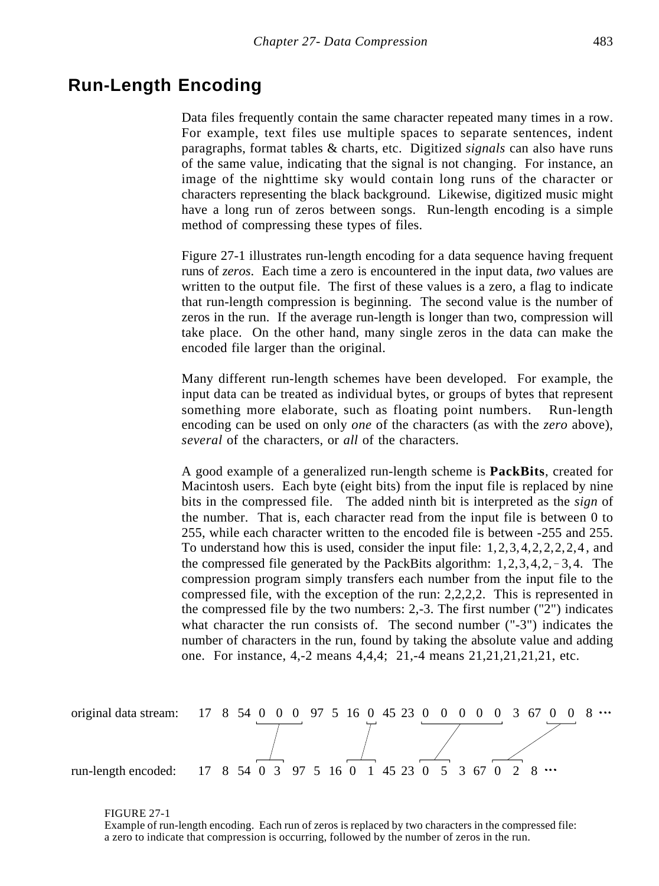# **Run-Length Encoding**

Data files frequently contain the same character repeated many times in a row. For example, text files use multiple spaces to separate sentences, indent paragraphs, format tables & charts, etc. Digitized *signals* can also have runs of the same value, indicating that the signal is not changing. For instance, an image of the nighttime sky would contain long runs of the character or characters representing the black background. Likewise, digitized music might have a long run of zeros between songs. Run-length encoding is a simple method of compressing these types of files.

Figure 27-1 illustrates run-length encoding for a data sequence having frequent runs of *zeros*. Each time a zero is encountered in the input data, *two* values are written to the output file. The first of these values is a zero, a flag to indicate that run-length compression is beginning. The second value is the number of zeros in the run. If the average run-length is longer than two, compression will take place. On the other hand, many single zeros in the data can make the encoded file larger than the original.

Many different run-length schemes have been developed. For example, the input data can be treated as individual bytes, or groups of bytes that represent something more elaborate, such as floating point numbers. Run-length encoding can be used on only *one* of the characters (as with the *zero* above), *several* of the characters, or *all* of the characters.

A good example of a generalized run-length scheme is **PackBits**, created for Macintosh users. Each byte (eight bits) from the input file is replaced by nine bits in the compressed file. The added ninth bit is interpreted as the *sign* of the number. That is, each character read from the input file is between 0 to 255, while each character written to the encoded file is between -255 and 255. To understand how this is used, consider the input file: 1,2,3,4,2,2,2,2,4 , and the compressed file generated by the PackBits algorithm:  $1, 2, 3, 4, 2, -3, 4$ . The compression program simply transfers each number from the input file to the compressed file, with the exception of the run: 2,2,2,2. This is represented in the compressed file by the two numbers: 2,-3. The first number ("2") indicates what character the run consists of. The second number ("-3") indicates the number of characters in the run, found by taking the absolute value and adding one. For instance, 4,-2 means 4,4,4; 21,-4 means 21,21,21,21,21, etc.

original data stream: 17 8 54 
$$
\underbrace{0 \quad 0 \quad 0}_{}
$$
 97 5 16  $\underbrace{0 \quad 45 \quad 23}_{}$   $\underbrace{0 \quad 0 \quad 0 \quad 0 \quad 0}_{}$  8 ...  
run-length encoded: 17 8 54  $\underbrace{0 \quad 3}_{}$  97 5 16  $\underbrace{0 \quad 1}_{}$  45 23  $\underbrace{0 \quad 5}_{$  3 67  $\underbrace{0 \quad 2}_{}$  8 ...

FIGURE 27-1 Example of run-length encoding. Each run of zeros is replaced by two characters in the compressed file: a zero to indicate that compression is occurring, followed by the number of zeros in the run.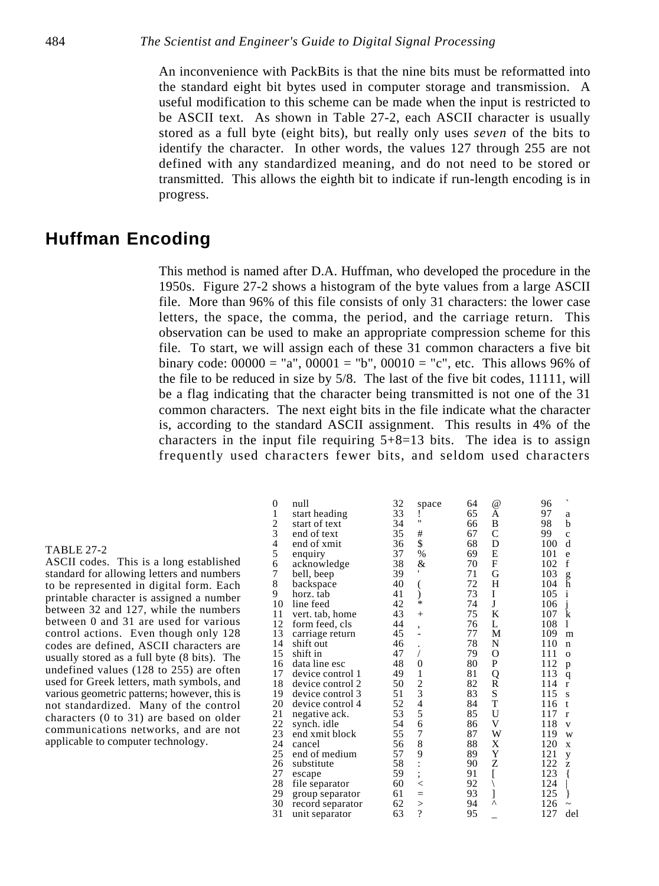An inconvenience with PackBits is that the nine bits must be reformatted into the standard eight bit bytes used in computer storage and transmission. A useful modification to this scheme can be made when the input is restricted to be ASCII text. As shown in Table 27-2, each ASCII character is usually stored as a full byte (eight bits), but really only uses *seven* of the bits to identify the character. In other words, the values 127 through 255 are not defined with any standardized meaning, and do not need to be stored or transmitted. This allows the eighth bit to indicate if run-length encoding is in progress.

# **Huffman Encoding**

This method is named after D.A. Huffman, who developed the procedure in the 1950s. Figure 27-2 shows a histogram of the byte values from a large ASCII file. More than 96% of this file consists of only 31 characters: the lower case letters, the space, the comma, the period, and the carriage return. This observation can be used to make an appropriate compression scheme for this file. To start, we will assign each of these 31 common characters a five bit binary code:  $00000 =$  "a",  $00001 =$  "b",  $00010 =$  "c", etc. This allows 96% of the file to be reduced in size by 5/8. The last of the five bit codes, 11111, will be a flag indicating that the character being transmitted is not one of the 31 common characters. The next eight bits in the file indicate what the character is, according to the standard ASCII assignment. This results in 4% of the characters in the input file requiring  $5+8=13$  bits. The idea is to assign frequently used characters fewer bits, and seldom used characters

### TABLE 27-2

ASCII codes. This is a long established standard for allowing letters and numbers to be represented in digital form. Each printable character is assigned a number between 32 and 127, while the numbers between 0 and 31 are used for various control actions. Even though only 128 codes are defined, ASCII characters are usually stored as a full byte (8 bits). The undefined values (128 to 255) are often used for Greek letters, math symbols, and various geometric patterns; however, this is not standardized. Many of the control characters (0 to 31) are based on older communications networks, and are not applicable to computer technology.

| $\overline{0}$                   | null             | 32 | space            | 64 | $^{\scriptsize\textregistered}$ | 96  | $\overline{\phantom{0}}$ |
|----------------------------------|------------------|----|------------------|----|---------------------------------|-----|--------------------------|
| 1                                | start heading    | 33 |                  | 65 | А                               | 97  | a                        |
| $\frac{2}{3}$                    | start of text    | 34 |                  | 66 | B                               | 98  | b                        |
|                                  | end of text      | 35 | #                | 67 | $\mathcal{C}$                   | 99  | $\mathbf c$              |
| $\overline{4}$                   | end of xmit      | 36 | \$               | 68 | D                               | 100 | d                        |
| 5                                | enquiry          | 37 | $\%$             | 69 | E                               | 101 | e                        |
| 6<br>7                           | acknowledge      | 38 | &                | 70 | F                               | 102 | $\mathbf f$              |
|                                  | bell, beep       | 39 |                  | 71 | G                               | 103 | g<br>h                   |
| 8                                | backspace        | 40 |                  | 72 | H                               | 104 |                          |
| 9                                | horz. tab        | 41 |                  | 73 | I                               | 105 | i                        |
| 10                               | line feed        | 42 | $\ast$           | 74 | J                               | 106 | j<br>k                   |
| 11                               | vert. tab, home  | 43 | $+$              | 75 | K                               | 107 |                          |
| 12                               | form feed, cls   | 44 | ,                | 76 | L                               | 108 | 1                        |
| 13                               | carriage return  | 45 |                  | 77 | M                               | 109 | m                        |
| 14                               | shift out        | 46 |                  | 78 | N                               | 110 | n                        |
| 15                               | shift in         | 47 | 7                | 79 | O                               | 111 | $\mathbf{o}$             |
| 16                               | data line esc    | 48 | $\boldsymbol{0}$ | 80 | P                               | 112 | p                        |
| 17                               | device control 1 | 49 | $\mathbf{1}$     | 81 | Q<br>R                          | 113 | q                        |
| 18                               | device control 2 | 50 |                  | 82 |                                 | 114 | $\mathbf{r}$             |
| 19                               | device control 3 | 51 | $\frac{2}{3}$    | 83 | S                               | 115 | S                        |
| 20                               | device control 4 | 52 | $\overline{4}$   | 84 | T                               | 116 | t                        |
|                                  | negative ack.    | 53 | $\overline{5}$   | 85 | U                               | 117 | $\mathbf{r}$             |
|                                  | synch. idle      | 54 | 6                | 86 | V                               | 118 | $\mathbf{V}$             |
|                                  | end xmit block   | 55 | 7                | 87 | W                               | 119 | W                        |
| 21<br>22<br>23<br>24<br>25<br>26 | cancel           | 56 | 8                | 88 | X                               | 120 | $\mathbf X$              |
|                                  | end of medium    | 57 | 9                | 89 | Y                               | 121 | y                        |
|                                  | substitute       | 58 |                  | 90 | Z                               | 122 | z                        |
| 27                               | escape           | 59 | ;                | 91 |                                 | 123 | {                        |
| 28                               | file separator   | 60 | $\,<$            | 92 |                                 | 124 |                          |
| 29                               | group separator  | 61 | $=$              | 93 | ]                               | 125 |                          |
| 30                               | record separator | 62 |                  | 94 | ٨                               | 126 |                          |
| 31                               | unit separator   | 63 | $\frac{1}{2}$    | 95 |                                 | 127 | del                      |
|                                  |                  |    |                  |    |                                 |     |                          |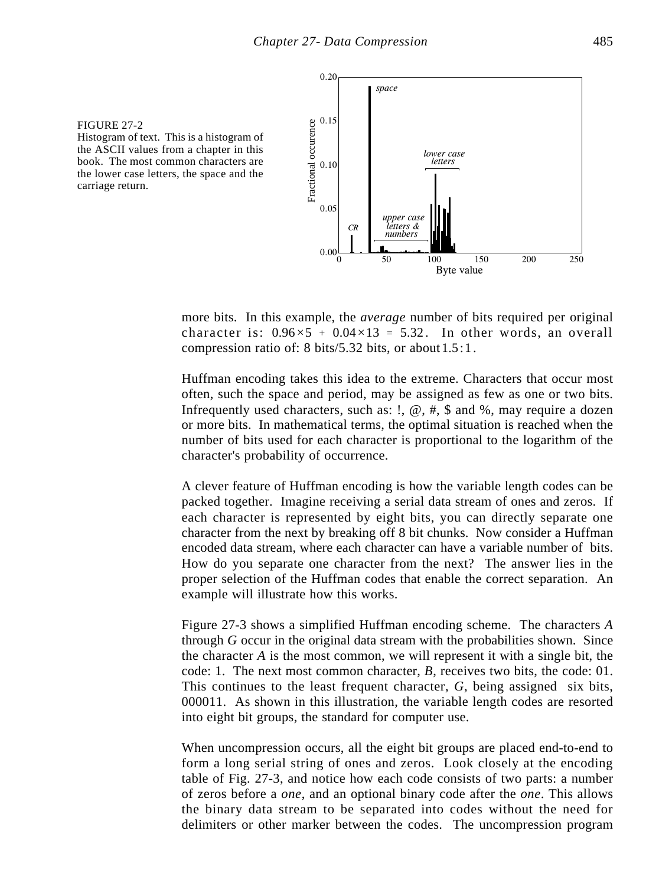



more bits. In this example, the *average* number of bits required per original character is:  $0.96 \times 5 + 0.04 \times 13 = 5.32$ . In other words, an overall compression ratio of: 8 bits/5.32 bits, or about 1.5 :1 .

Huffman encoding takes this idea to the extreme. Characters that occur most often, such the space and period, may be assigned as few as one or two bits. Infrequently used characters, such as: !, @, #, \$ and %, may require a dozen or more bits. In mathematical terms, the optimal situation is reached when the number of bits used for each character is proportional to the logarithm of the character's probability of occurrence.

A clever feature of Huffman encoding is how the variable length codes can be packed together. Imagine receiving a serial data stream of ones and zeros. If each character is represented by eight bits, you can directly separate one character from the next by breaking off 8 bit chunks. Now consider a Huffman encoded data stream, where each character can have a variable number of bits. How do you separate one character from the next? The answer lies in the proper selection of the Huffman codes that enable the correct separation. An example will illustrate how this works.

Figure 27-3 shows a simplified Huffman encoding scheme. The characters *A* through *G* occur in the original data stream with the probabilities shown. Since the character *A* is the most common, we will represent it with a single bit, the code: 1. The next most common character, *B*, receives two bits, the code: 01. This continues to the least frequent character, *G*, being assigned six bits, 000011. As shown in this illustration, the variable length codes are resorted into eight bit groups, the standard for computer use.

When uncompression occurs, all the eight bit groups are placed end-to-end to form a long serial string of ones and zeros. Look closely at the encoding table of Fig. 27-3, and notice how each code consists of two parts: a number of zeros before a *one*, and an optional binary code after the *one*. This allows the binary data stream to be separated into codes without the need for delimiters or other marker between the codes. The uncompression program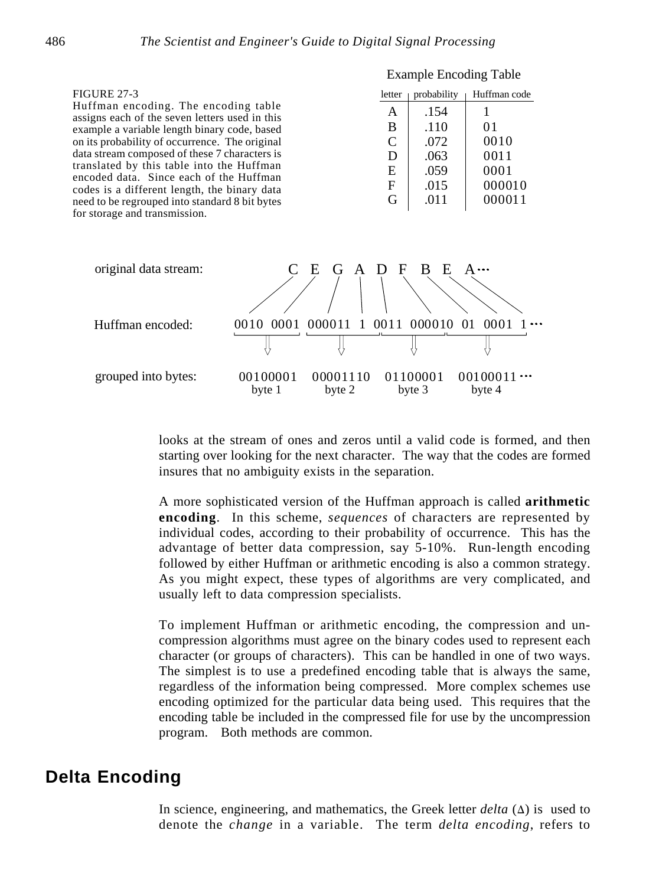

looks at the stream of ones and zeros until a valid code is formed, and then starting over looking for the next character. The way that the codes are formed insures that no ambiguity exists in the separation.

A more sophisticated version of the Huffman approach is called **arithmetic encoding**. In this scheme, *sequences* of characters are represented by individual codes, according to their probability of occurrence. This has the advantage of better data compression, say 5-10%. Run-length encoding followed by either Huffman or arithmetic encoding is also a common strategy. As you might expect, these types of algorithms are very complicated, and usually left to data compression specialists.

To implement Huffman or arithmetic encoding, the compression and uncompression algorithms must agree on the binary codes used to represent each character (or groups of characters). This can be handled in one of two ways. The simplest is to use a predefined encoding table that is always the same, regardless of the information being compressed. More complex schemes use encoding optimized for the particular data being used. This requires that the encoding table be included in the compressed file for use by the uncompression program. Both methods are common.

### **Delta Encoding**

In science, engineering, and mathematics, the Greek letter  $delta(\Delta)$  is used to denote the *change* in a variable. The term *delta encoding*, refers to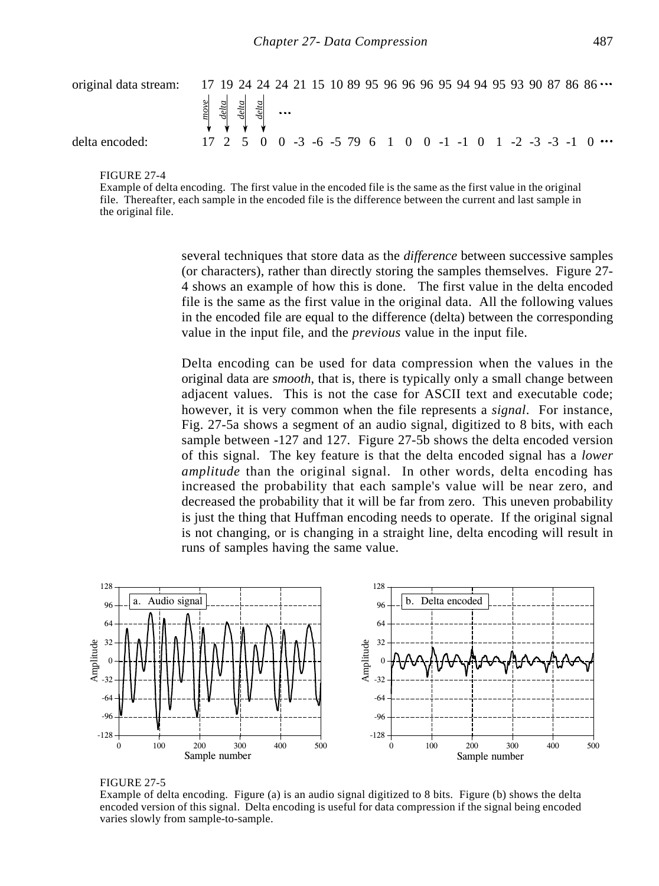original data stream:



FIGURE 27-4

delta encoded:

Example of delta encoding. The first value in the encoded file is the same as the first value in the original file. Thereafter, each sample in the encoded file is the difference between the current and last sample in the original file.

> several techniques that store data as the *difference* between successive samples (or characters), rather than directly storing the samples themselves. Figure 27- 4 shows an example of how this is done. The first value in the delta encoded file is the same as the first value in the original data. All the following values in the encoded file are equal to the difference (delta) between the corresponding value in the input file, and the *previous* value in the input file.

> Delta encoding can be used for data compression when the values in the original data are *smooth*, that is, there is typically only a small change between adjacent values. This is not the case for ASCII text and executable code; however, it is very common when the file represents a *signal*. For instance, Fig. 27-5a shows a segment of an audio signal, digitized to 8 bits, with each sample between -127 and 127. Figure 27-5b shows the delta encoded version of this signal. The key feature is that the delta encoded signal has a *lower amplitude* than the original signal. In other words, delta encoding has increased the probability that each sample's value will be near zero, and decreased the probability that it will be far from zero. This uneven probability is just the thing that Huffman encoding needs to operate. If the original signal is not changing, or is changing in a straight line, delta encoding will result in runs of samples having the same value.





Example of delta encoding. Figure (a) is an audio signal digitized to 8 bits. Figure (b) shows the delta encoded version of this signal. Delta encoding is useful for data compression if the signal being encoded varies slowly from sample-to-sample.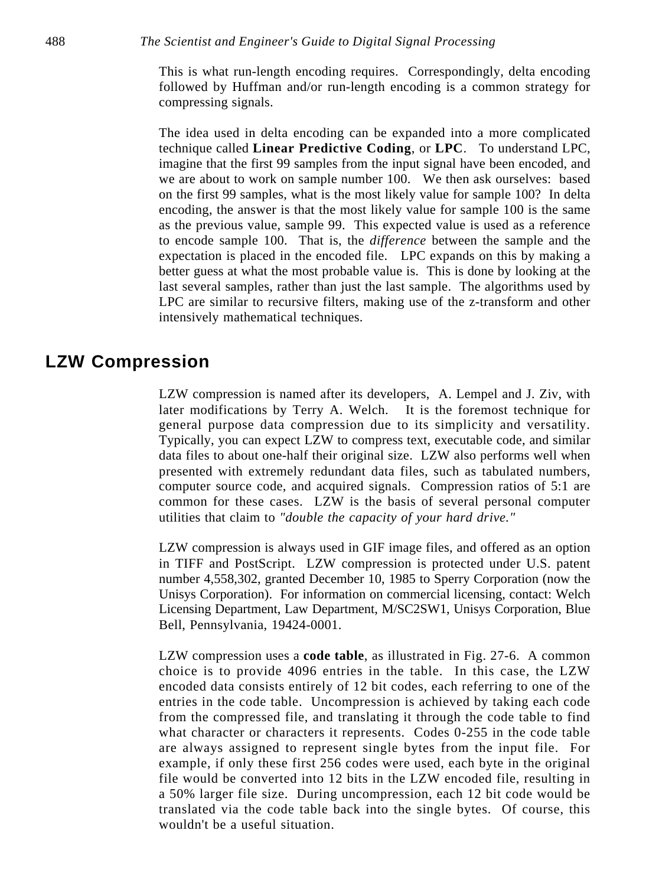This is what run-length encoding requires. Correspondingly, delta encoding followed by Huffman and/or run-length encoding is a common strategy for compressing signals.

The idea used in delta encoding can be expanded into a more complicated technique called **Linear Predictive Coding**, or **LPC**. To understand LPC, imagine that the first 99 samples from the input signal have been encoded, and we are about to work on sample number 100. We then ask ourselves: based on the first 99 samples, what is the most likely value for sample 100? In delta encoding, the answer is that the most likely value for sample 100 is the same as the previous value, sample 99. This expected value is used as a reference to encode sample 100. That is, the *difference* between the sample and the expectation is placed in the encoded file. LPC expands on this by making a better guess at what the most probable value is. This is done by looking at the last several samples, rather than just the last sample. The algorithms used by LPC are similar to recursive filters, making use of the z-transform and other intensively mathematical techniques.

# **LZW Compression**

LZW compression is named after its developers, A. Lempel and J. Ziv, with later modifications by Terry A. Welch. It is the foremost technique for general purpose data compression due to its simplicity and versatility. Typically, you can expect LZW to compress text, executable code, and similar data files to about one-half their original size. LZW also performs well when presented with extremely redundant data files, such as tabulated numbers, computer source code, and acquired signals. Compression ratios of 5:1 are common for these cases. LZW is the basis of several personal computer utilities that claim to *"double the capacity of your hard drive."*

LZW compression is always used in GIF image files, and offered as an option in TIFF and PostScript. LZW compression is protected under U.S. patent number 4,558,302, granted December 10, 1985 to Sperry Corporation (now the Unisys Corporation). For information on commercial licensing, contact: Welch Licensing Department, Law Department, M/SC2SW1, Unisys Corporation, Blue Bell, Pennsylvania, 19424-0001.

LZW compression uses a **code table**, as illustrated in Fig. 27-6. A common choice is to provide 4096 entries in the table. In this case, the LZW encoded data consists entirely of 12 bit codes, each referring to one of the entries in the code table. Uncompression is achieved by taking each code from the compressed file, and translating it through the code table to find what character or characters it represents. Codes 0-255 in the code table are always assigned to represent single bytes from the input file. For example, if only these first 256 codes were used, each byte in the original file would be converted into 12 bits in the LZW encoded file, resulting in a 50% larger file size. During uncompression, each 12 bit code would be translated via the code table back into the single bytes. Of course, this wouldn't be a useful situation.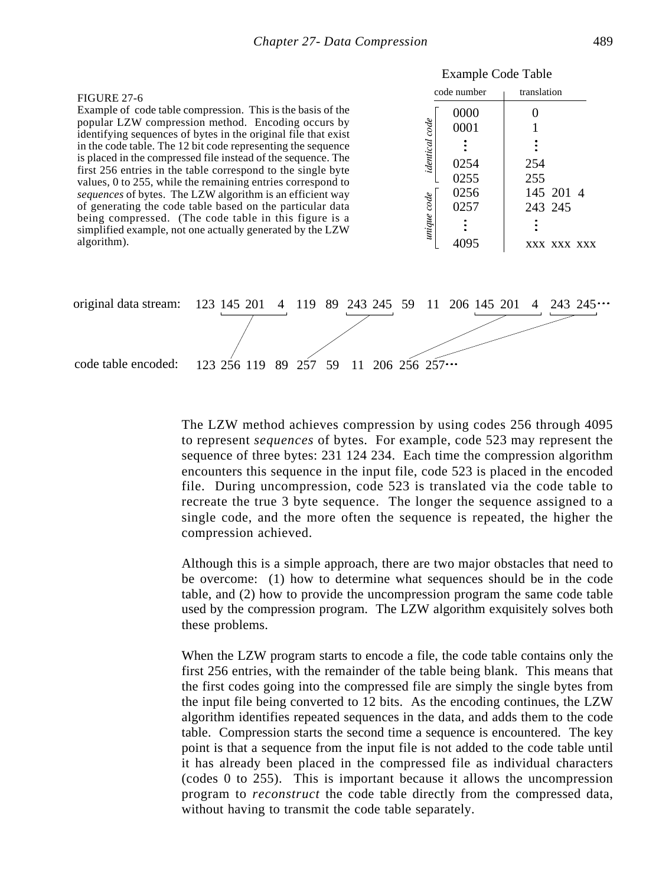| <b>FIGURE 27-6</b>                                                                                                                                                                                                                                                                                                                                                                                                                                                                                                                                                                                                                                                                                                        | code number                                                                                 | translation                                       |
|---------------------------------------------------------------------------------------------------------------------------------------------------------------------------------------------------------------------------------------------------------------------------------------------------------------------------------------------------------------------------------------------------------------------------------------------------------------------------------------------------------------------------------------------------------------------------------------------------------------------------------------------------------------------------------------------------------------------------|---------------------------------------------------------------------------------------------|---------------------------------------------------|
| Example of code table compression. This is the basis of the<br>popular LZW compression method. Encoding occurs by<br>identifying sequences of bytes in the original file that exist<br>in the code table. The 12 bit code representing the sequence<br>is placed in the compressed file instead of the sequence. The<br>first 256 entries in the table correspond to the single byte<br>values, 0 to 255, while the remaining entries correspond to<br><i>sequences</i> of bytes. The LZW algorithm is an efficient way<br>of generating the code table based on the particular data<br>being compressed. (The code table in this figure is a<br>simplified example, not one actually generated by the LZW<br>algorithm). | 0000<br>code<br>0001<br>identical<br>0254<br>0255<br>0256<br>code<br>0257<br>unique<br>4095 | 254<br>255<br>145 201 4<br>243 245<br>XXX XXX XXX |
|                                                                                                                                                                                                                                                                                                                                                                                                                                                                                                                                                                                                                                                                                                                           |                                                                                             |                                                   |



The LZW method achieves compression by using codes 256 through 4095 to represent *sequences* of bytes. For example, code 523 may represent the sequence of three bytes: 231 124 234. Each time the compression algorithm encounters this sequence in the input file, code 523 is placed in the encoded file. During uncompression, code 523 is translated via the code table to recreate the true 3 byte sequence. The longer the sequence assigned to a single code, and the more often the sequence is repeated, the higher the compression achieved.

Although this is a simple approach, there are two major obstacles that need to be overcome: (1) how to determine what sequences should be in the code table, and (2) how to provide the uncompression program the same code table used by the compression program. The LZW algorithm exquisitely solves both these problems.

When the LZW program starts to encode a file, the code table contains only the first 256 entries, with the remainder of the table being blank. This means that the first codes going into the compressed file are simply the single bytes from the input file being converted to 12 bits. As the encoding continues, the LZW algorithm identifies repeated sequences in the data, and adds them to the code table. Compression starts the second time a sequence is encountered. The key point is that a sequence from the input file is not added to the code table until it has already been placed in the compressed file as individual characters (codes 0 to 255). This is important because it allows the uncompression program to *reconstruct* the code table directly from the compressed data, without having to transmit the code table separately.

Example Code Table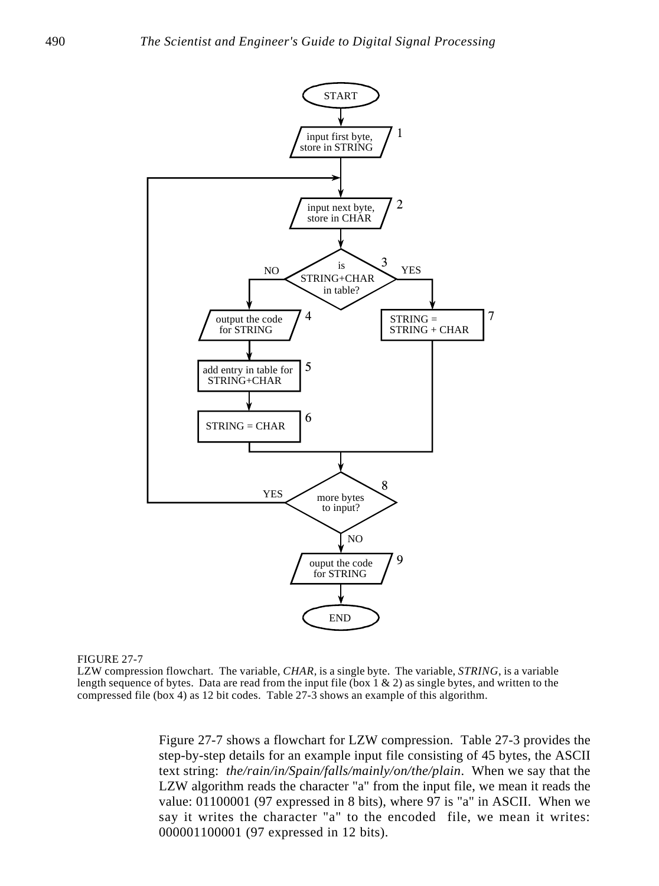

### FIGURE 27-7

LZW compression flowchart. The variable, *CHAR*, is a single byte. The variable, *STRING*, is a variable length sequence of bytes. Data are read from the input file (box 1 & 2) as single bytes, and written to the compressed file (box 4) as 12 bit codes. Table 27-3 shows an example of this algorithm.

> Figure 27-7 shows a flowchart for LZW compression. Table 27-3 provides the step-by-step details for an example input file consisting of 45 bytes, the ASCII text string: *the/rain/in/Spain/falls/mainly/on/the/plain*. When we say that the LZW algorithm reads the character "a" from the input file, we mean it reads the value: 01100001 (97 expressed in 8 bits), where 97 is "a" in ASCII. When we say it writes the character "a" to the encoded file, we mean it writes: 000001100001 (97 expressed in 12 bits).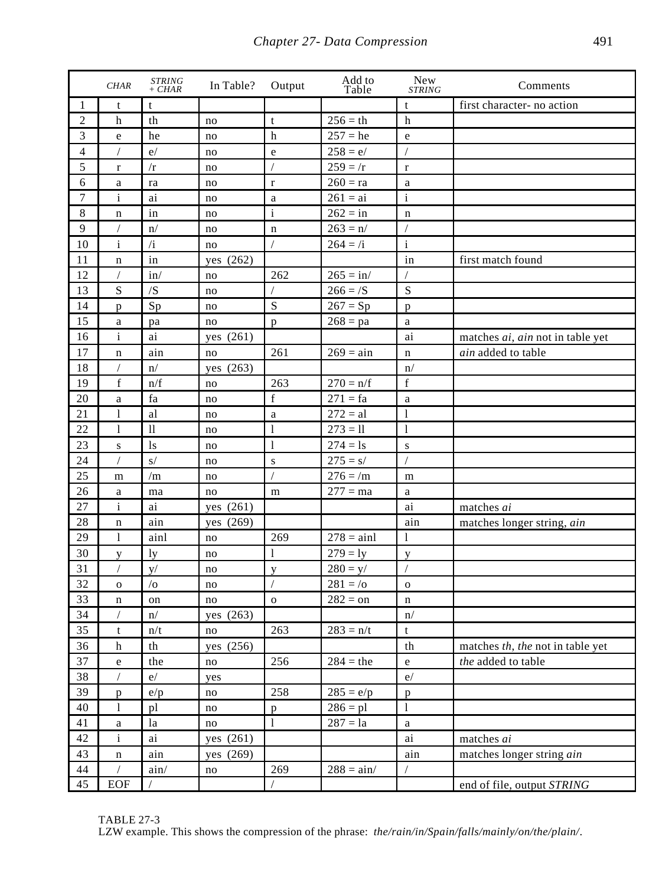|                 | <b>CHAR</b>               | <b>STRING</b><br>$+ CHAR$  | In Table?              | Output       | Add to<br>Table              | New<br><b>STRING</b>       | Comments                         |
|-----------------|---------------------------|----------------------------|------------------------|--------------|------------------------------|----------------------------|----------------------------------|
| 1               | t                         | t                          |                        |              |                              | t                          | first character- no action       |
| $\mathbf{2}$    | h                         | th                         | no                     | $\mathbf t$  | $256 = th$                   | $\mathbf h$                |                                  |
| 3               | e                         | he                         | no                     | $\,h$        | $257 = he$                   | $\mathbf e$                |                                  |
| 4               | $\sqrt{2}$                | e/                         | no                     | e            | $258 = e/$                   | $\sqrt{2}$                 |                                  |
| 5               | $\bf r$                   | /r                         | no                     | $\sqrt{ }$   | $259 = r$                    | $\mathbf r$                |                                  |
| 6               | a                         | ra                         | no                     | $\mathbf r$  | $260 = ra$                   | $\rm{a}$                   |                                  |
| $\tau$          | $\mathbf{i}$              | ai                         | no                     | $\rm{a}$     | $261 = ai$                   | $\mathbf{i}$               |                                  |
| 8               | n                         | in                         | no                     | $\rm i$      | $262 = in$                   | $\mathbf n$                |                                  |
| 9               | $\prime$                  | $\mathbf{n}/$              | no                     | $\mathbf n$  | $263 = n/$                   | $\sqrt{2}$                 |                                  |
| 10              | $\mathbf{i}$              | $/\mathrm{i}$              | no                     | $\sqrt{2}$   | $264 = i$                    | $\mathbf{i}$               |                                  |
| 11              | $\mathbf n$               | in                         | (262)<br>yes           |              |                              | in                         | first match found                |
| 12              | $\overline{1}$            | in/                        | no                     | 262          | $265 = in/$                  | $\overline{1}$             |                                  |
| 13              | $\mathbf S$               | /S                         | no                     | $\sqrt{ }$   | $266 = /S$                   | S                          |                                  |
| 14              | p                         | Sp                         | no                     | S            | $267 = Sp$                   | p                          |                                  |
| 15              | $\rm{a}$                  | pa                         | no                     | p            | $268 = pa$                   | $\rm{a}$                   |                                  |
| 16              | $\rm i$                   | ai                         | yes (261)              |              |                              | ai                         | matches ai, ain not in table yet |
| 17              | n                         | ain                        | no                     | 261          | $269 = \text{ain}$           | n                          | ain added to table               |
| 18              |                           | n/                         | (263)<br>yes           |              |                              | $\mathbf{n}/$              |                                  |
| 19              | f                         | n/f                        | no                     | 263          | $270 = n/f$                  | f                          |                                  |
| 20              | $\rm{a}$                  | fa                         | no                     | $\mathbf f$  | $271 = fa$                   | $\rm{a}$                   |                                  |
| 21              | 1                         | al                         | no                     | $\rm{a}$     | $272 = a1$                   | $\mathbf{1}$               |                                  |
| 22              | $\mathbf{1}$              | 11                         | no                     | $\mathbf{1}$ | $273 = 11$                   | $\mathbf{1}$               |                                  |
| 23              | ${\bf S}$                 | 1s                         | no                     | $\mathbf{1}$ | $274 = 1s$                   | ${\bf S}$                  |                                  |
| 24              |                           | $\mathbf{s}/$              | no                     | ${\bf S}$    | $275 = s/$                   |                            |                                  |
| 25              | m                         | /m                         | no                     | $\sqrt{2}$   | $276 = /m$                   | m                          |                                  |
| 26              | a                         | ma                         | no                     | m            | $277 = ma$                   | a                          |                                  |
| 27              | $\mathbf{i}$              | ai                         | (261)<br>yes           |              |                              | ai                         | matches ai                       |
| 28              | $\mathbf n$               | ain                        | yes (269)              |              |                              | ain                        | matches longer string, ain       |
| 29              | $\mathbf{1}$              | ainl                       | no                     | 269          | $278 = \text{ainl}$          | $\mathbf{1}$               |                                  |
| 30              | y                         | ly                         | no                     | $\mathbf{1}$ | $279 = 1y$                   | y                          |                                  |
| 31              | $\sqrt{2}$                | y/                         | no                     | y            | $280 = y/$                   | $\sqrt{ }$                 |                                  |
| 32              | ${\bf O}$                 | $\sqrt{0}$                 | no                     | $\sqrt{2}$   | $281 = /o$                   | $\mathbf{o}$               |                                  |
| 33              | n                         | on                         | no                     | ${\bf O}$    | $282 = on$                   | $\mathbf n$                |                                  |
| 34              |                           | n/                         | yes (263)              |              |                              | $\mathbf{n}/$              |                                  |
| 35              | t                         | n/t                        | no                     | 263          | $283 = n/t$                  | t                          |                                  |
| $36\,$          | $\boldsymbol{\textbf{h}}$ | th                         | yes (256)              |              |                              | $^{\mbox{th}}$             | matches th, the not in table yet |
| $\overline{37}$ | $\mathbf{e}% _{w}$        | the                        | no                     | 256          | $284 =$ the                  | $\mathbf{e}$               | the added to table               |
| $38\,$          | $\overline{1}$            | $\mathrm{e}/% \mathcal{E}$ | yes                    |              |                              | $\mathrm{e}/% \mathcal{E}$ |                                  |
| 39              | p                         | e/p                        | no                     | 258          | $285 = e/p$                  | $\mathbf{p}$               |                                  |
| 40              | $\mathbf{1}$              | pl                         | $\mathop{\mathrm{no}}$ | $\mathbf{p}$ | $286 = pl$                   | $\mathbf{1}$               |                                  |
| 41              | $\mathbf{a}$              | $1\mathrm{a}$              | $\mathbf{no}$          | $\bf{l}$     | $287 = 1a$                   | $\mathbf{a}$               |                                  |
| $42\,$          | $\mathbf{i}$              | ${\rm ai}$                 | yes (261)              |              |                              | $\,$ ai                    | matches $a\boldsymbol{i}$        |
| 43              | $\mathbf n$               | ain                        | yes (269)              |              |                              | ain                        | matches longer string ain        |
| 44              |                           | $\rm{ain/}$                | $\mathbf{no}$          | 269          | $288 = \frac{\text{ain}}{ }$ |                            |                                  |
| 45              | <b>EOF</b>                |                            |                        |              |                              |                            | end of file, output STRING       |

TABLE 27-3

LZW example. This shows the compression of the phrase: *the/rain/in/Spain/falls/mainly/on/the/plain/*.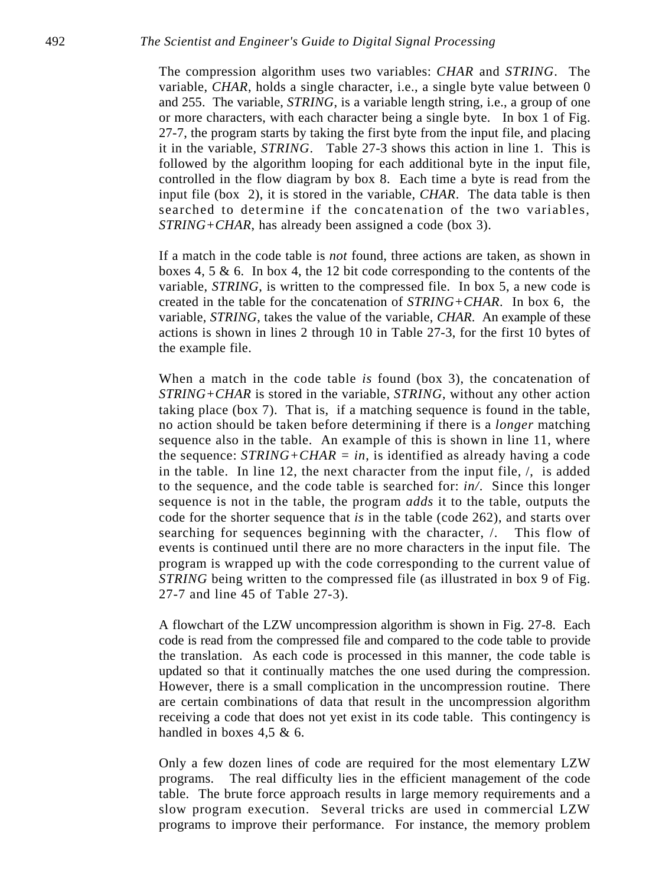The compression algorithm uses two variables: *CHAR* and *STRING*. The variable, *CHAR*, holds a single character, i.e., a single byte value between 0 and 255. The variable, *STRING*, is a variable length string, i.e., a group of one or more characters, with each character being a single byte. In box 1 of Fig. 27-7, the program starts by taking the first byte from the input file, and placing it in the variable, *STRING*. Table 27-3 shows this action in line 1. This is followed by the algorithm looping for each additional byte in the input file, controlled in the flow diagram by box 8. Each time a byte is read from the input file (box 2), it is stored in the variable, *CHAR*. The data table is then searched to determine if the concatenation of the two variables, *STRING+CHAR*, has already been assigned a code (box 3).

If a match in the code table is *not* found, three actions are taken, as shown in boxes 4, 5  $\&$  6. In box 4, the 12 bit code corresponding to the contents of the variable, *STRING*, is written to the compressed file. In box 5, a new code is created in the table for the concatenation of *STRING+CHAR*. In box 6, the variable, *STRING*, takes the value of the variable, *CHAR*. An example of these actions is shown in lines 2 through 10 in Table 27-3, for the first 10 bytes of the example file.

When a match in the code table *is* found (box 3), the concatenation of *STRING+CHAR* is stored in the variable, *STRING*, without any other action taking place (box 7). That is, if a matching sequence is found in the table, no action should be taken before determining if there is a *longer* matching sequence also in the table. An example of this is shown in line 11, where the sequence:  $STRING + CHAR = in$ , is identified as already having a code in the table. In line 12, the next character from the input file, /, is added to the sequence, and the code table is searched for: *in/*. Since this longer sequence is not in the table, the program *adds* it to the table, outputs the code for the shorter sequence that *is* in the table (code 262), and starts over searching for sequences beginning with the character, /. This flow of events is continued until there are no more characters in the input file. The program is wrapped up with the code corresponding to the current value of *STRING* being written to the compressed file (as illustrated in box 9 of Fig. 27-7 and line 45 of Table 27-3).

A flowchart of the LZW uncompression algorithm is shown in Fig. 27-8. Each code is read from the compressed file and compared to the code table to provide the translation. As each code is processed in this manner, the code table is updated so that it continually matches the one used during the compression. However, there is a small complication in the uncompression routine. There are certain combinations of data that result in the uncompression algorithm receiving a code that does not yet exist in its code table. This contingency is handled in boxes 4,5 & 6.

Only a few dozen lines of code are required for the most elementary LZW programs. The real difficulty lies in the efficient management of the code table. The brute force approach results in large memory requirements and a slow program execution. Several tricks are used in commercial LZW programs to improve their performance. For instance, the memory problem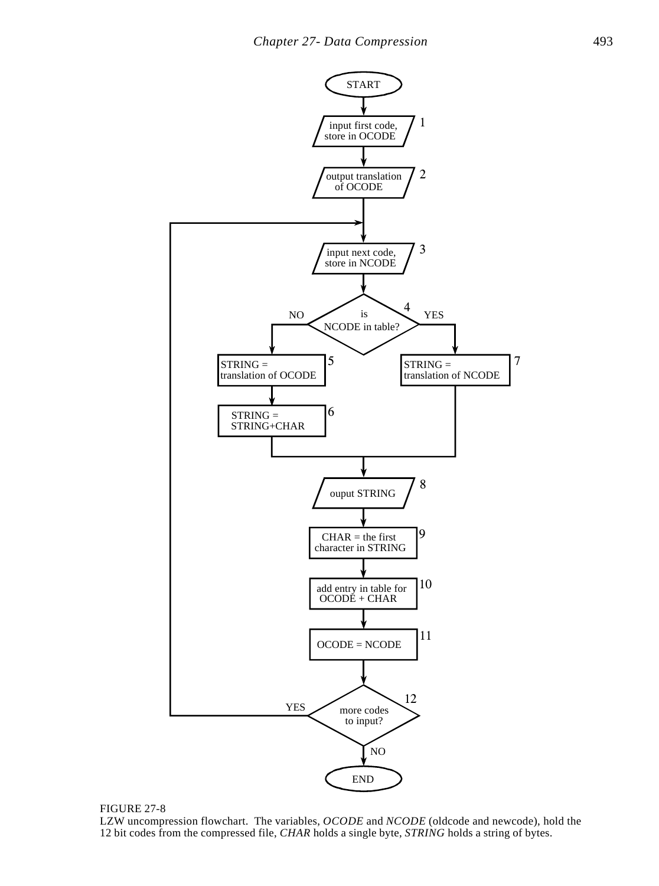

FIGURE 27-8

LZW uncompression flowchart. The variables, *OCODE* and *NCODE* (oldcode and newcode), hold the 12 bit codes from the compressed file, *CHAR* holds a single byte, *STRING* holds a string of bytes.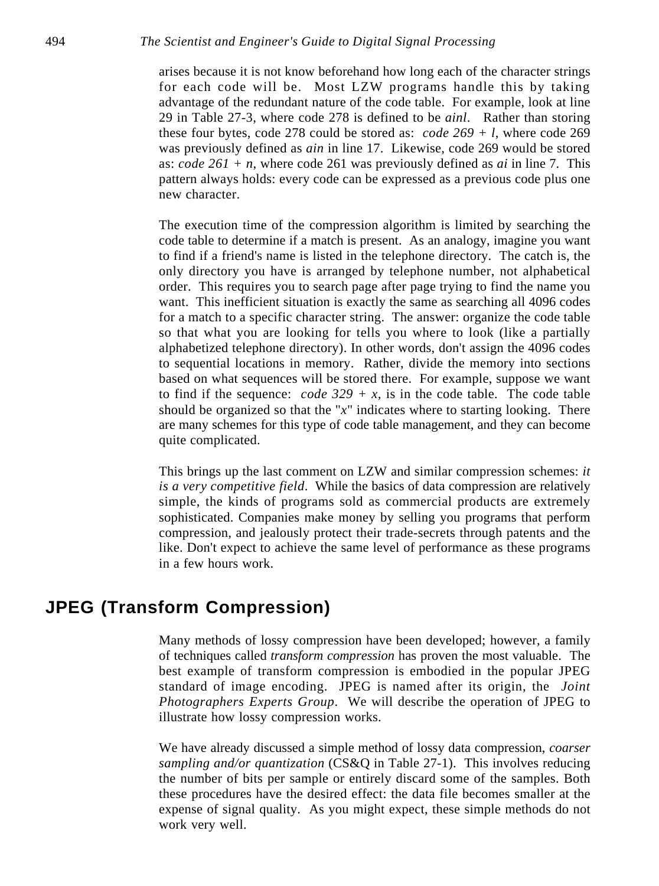arises because it is not know beforehand how long each of the character strings for each code will be. Most LZW programs handle this by taking advantage of the redundant nature of the code table. For example, look at line 29 in Table 27-3, where code 278 is defined to be *ainl*. Rather than storing these four bytes, code 278 could be stored as: *code 269 + l*, where code 269 was previously defined as *ain* in line 17. Likewise, code 269 would be stored as: *code 261 + n*, where code 261 was previously defined as *ai* in line 7. This pattern always holds: every code can be expressed as a previous code plus one new character.

The execution time of the compression algorithm is limited by searching the code table to determine if a match is present. As an analogy, imagine you want to find if a friend's name is listed in the telephone directory. The catch is, the only directory you have is arranged by telephone number, not alphabetical order. This requires you to search page after page trying to find the name you want. This inefficient situation is exactly the same as searching all 4096 codes for a match to a specific character string. The answer: organize the code table so that what you are looking for tells you where to look (like a partially alphabetized telephone directory). In other words, don't assign the 4096 codes to sequential locations in memory. Rather, divide the memory into sections based on what sequences will be stored there. For example, suppose we want to find if the sequence: *code*  $329 + x$ , is in the code table. The code table should be organized so that the " $x$ " indicates where to starting looking. There are many schemes for this type of code table management, and they can become quite complicated.

This brings up the last comment on LZW and similar compression schemes: *it is a very competitive field*. While the basics of data compression are relatively simple, the kinds of programs sold as commercial products are extremely sophisticated. Companies make money by selling you programs that perform compression, and jealously protect their trade-secrets through patents and the like. Don't expect to achieve the same level of performance as these programs in a few hours work.

# **JPEG (Transform Compression)**

Many methods of lossy compression have been developed; however, a family of techniques called *transform compression* has proven the most valuable. The best example of transform compression is embodied in the popular JPEG standard of image encoding. JPEG is named after its origin, the *Joint Photographers Experts Group*. We will describe the operation of JPEG to illustrate how lossy compression works.

We have already discussed a simple method of lossy data compression, *coarser sampling and/or quantization* (CS&Q in Table 27-1). This involves reducing the number of bits per sample or entirely discard some of the samples. Both these procedures have the desired effect: the data file becomes smaller at the expense of signal quality. As you might expect, these simple methods do not work very well.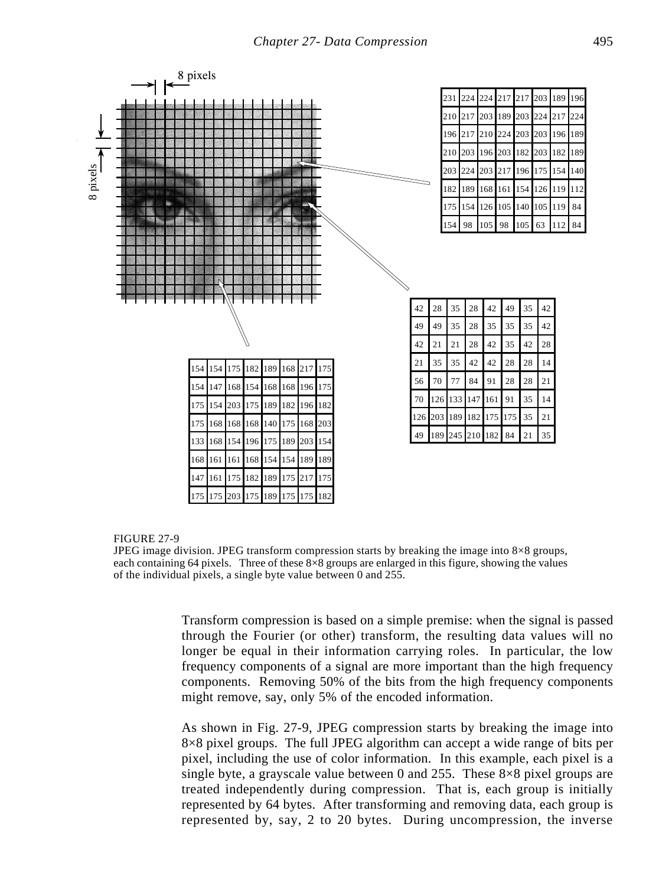

FIGURE 27-9

JPEG image division. JPEG transform compression starts by breaking the image into 8×8 groups, each containing 64 pixels. Three of these 8×8 groups are enlarged in this figure, showing the values of the individual pixels, a single byte value between 0 and 255.

Transform compression is based on a simple premise: when the signal is passed through the Fourier (or other) transform, the resulting data values will no longer be equal in their information carrying roles. In particular, the low frequency components of a signal are more important than the high frequency components. Removing 50% of the bits from the high frequency components might remove, say, only 5% of the encoded information.

As shown in Fig. 27-9, JPEG compression starts by breaking the image into  $8\times8$  pixel groups. The full JPEG algorithm can accept a wide range of bits per pixel, including the use of color information. In this example, each pixel is a single byte, a grayscale value between 0 and 255. These  $8 \times 8$  pixel groups are treated independently during compression. That is, each group is initially represented by 64 bytes. After transforming and removing data, each group is represented by, say, 2 to 20 bytes. During uncompression, the inverse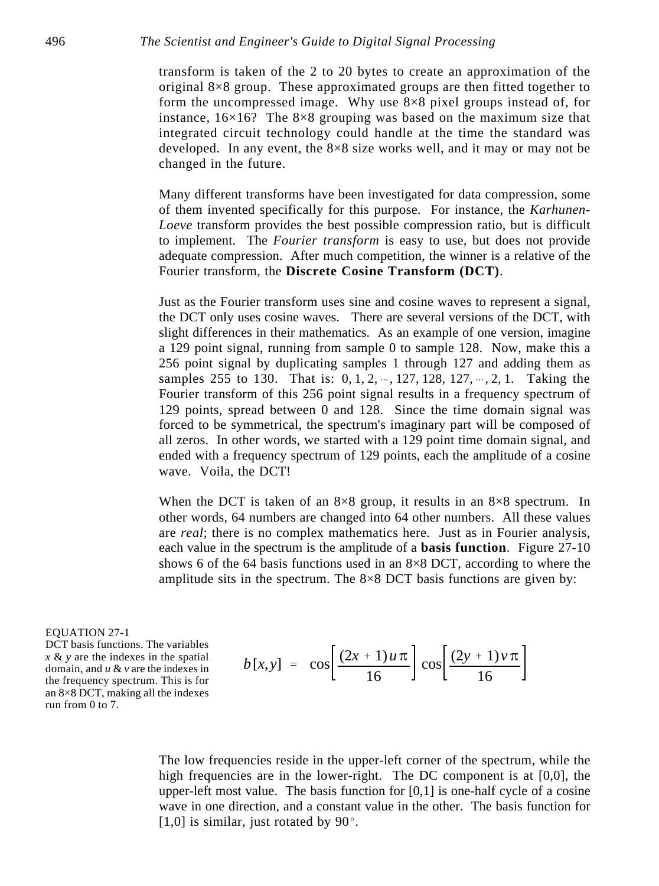transform is taken of the 2 to 20 bytes to create an approximation of the original  $8\times 8$  group. These approximated groups are then fitted together to form the uncompressed image. Why use  $8\times 8$  pixel groups instead of, for instance, 16×16? The 8×8 grouping was based on the maximum size that integrated circuit technology could handle at the time the standard was developed. In any event, the  $8\times 8$  size works well, and it may or may not be changed in the future.

Many different transforms have been investigated for data compression, some of them invented specifically for this purpose. For instance, the *Karhunen-Loeve* transform provides the best possible compression ratio, but is difficult to implement. The *Fourier transform* is easy to use, but does not provide adequate compression. After much competition, the winner is a relative of the Fourier transform, the **Discrete Cosine Transform (DCT)**.

Just as the Fourier transform uses sine and cosine waves to represent a signal, the DCT only uses cosine waves. There are several versions of the DCT, with slight differences in their mathematics. As an example of one version, imagine a 129 point signal, running from sample 0 to sample 128. Now, make this a 256 point signal by duplicating samples 1 through 127 and adding them as samples 255 to 130. That is:  $0, 1, 2, ..., 127, 128, 127, ..., 2, 1$ . Taking the Fourier transform of this 256 point signal results in a frequency spectrum of 129 points, spread between 0 and 128. Since the time domain signal was forced to be symmetrical, the spectrum's imaginary part will be composed of all zeros. In other words, we started with a 129 point time domain signal, and ended with a frequency spectrum of 129 points, each the amplitude of a cosine wave. Voila, the DCT!

When the DCT is taken of an  $8\times 8$  group, it results in an  $8\times 8$  spectrum. In other words, 64 numbers are changed into 64 other numbers. All these values are *real*; there is no complex mathematics here. Just as in Fourier analysis, each value in the spectrum is the amplitude of a **basis function**. Figure 27-10 shows 6 of the 64 basis functions used in an  $8\times8$  DCT, according to where the amplitude sits in the spectrum. The  $8\times 8$  DCT basis functions are given by:

EQUATION 27-1

DCT basis functions. The variables *x* & *y* are the indexes in the spatial domain, and *u* & *v* are the indexes in the frequency spectrum. This is for an 8×8 DCT, making all the indexes run from 0 to 7.

$$
b[x,y] = \cos\left[\frac{(2x+1)u\pi}{16}\right]\cos\left[\frac{(2y+1)v\pi}{16}\right]
$$

The low frequencies reside in the upper-left corner of the spectrum, while the high frequencies are in the lower-right. The DC component is at [0,0], the upper-left most value. The basis function for [0,1] is one-half cycle of a cosine wave in one direction, and a constant value in the other. The basis function for [1,0] is similar, just rotated by  $90^\circ$ .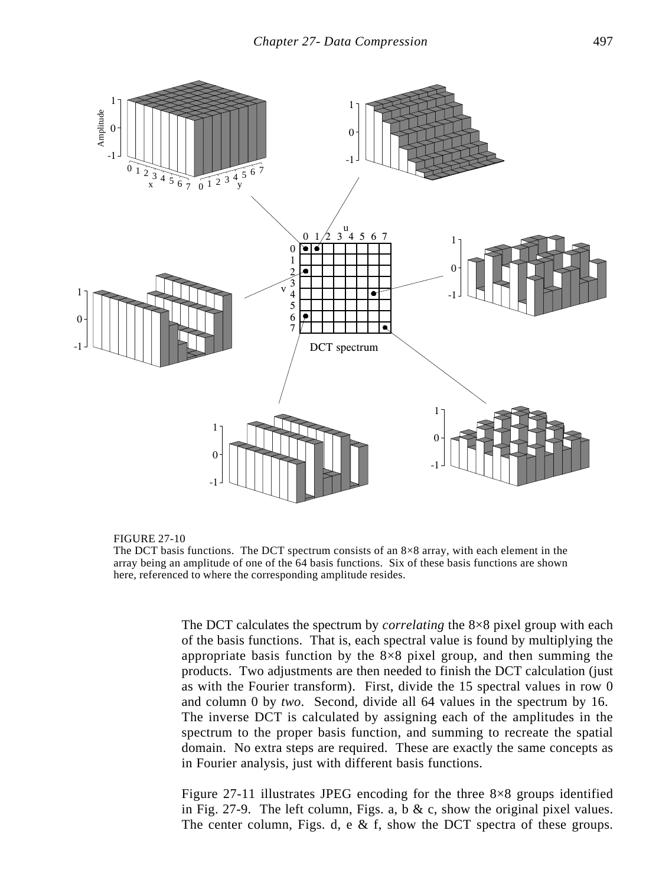

FIGURE 27-10

The DCT basis functions. The DCT spectrum consists of an 8×8 array, with each element in the array being an amplitude of one of the 64 basis functions. Six of these basis functions are shown here, referenced to where the corresponding amplitude resides.

The DCT calculates the spectrum by *correlating* the 8×8 pixel group with each of the basis functions. That is, each spectral value is found by multiplying the appropriate basis function by the  $8\times 8$  pixel group, and then summing the products. Two adjustments are then needed to finish the DCT calculation (just as with the Fourier transform). First, divide the 15 spectral values in row 0 and column 0 by *two*. Second, divide all 64 values in the spectrum by 16. The inverse DCT is calculated by assigning each of the amplitudes in the spectrum to the proper basis function, and summing to recreate the spatial domain. No extra steps are required. These are exactly the same concepts as in Fourier analysis, just with different basis functions.

Figure 27-11 illustrates JPEG encoding for the three 8×8 groups identified in Fig. 27-9. The left column, Figs. a, b  $\&c$ , show the original pixel values. The center column, Figs. d, e & f, show the DCT spectra of these groups.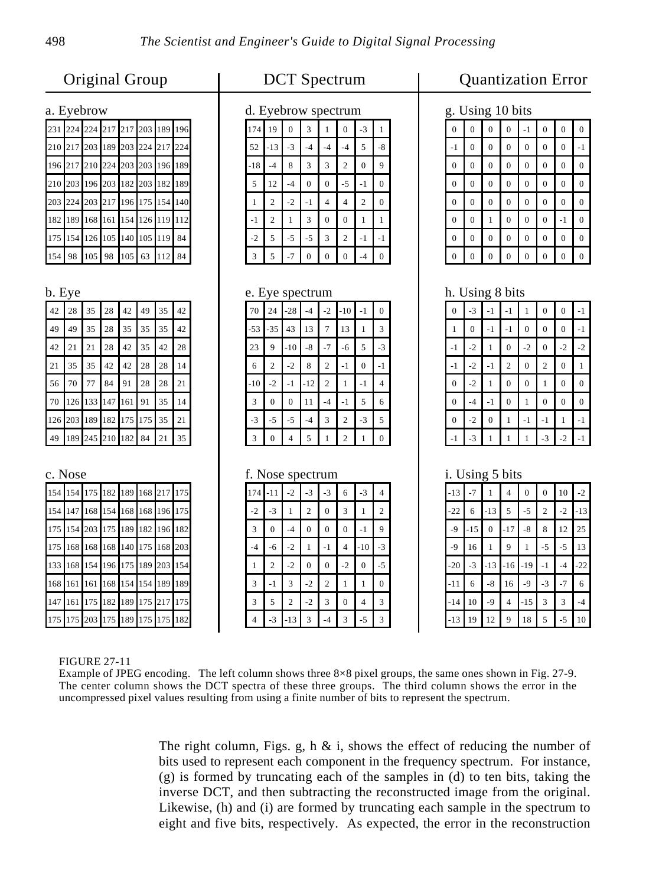### a. Eyebrow

|     | 231 224 224 217 217 203 189 196 |  |  |  |
|-----|---------------------------------|--|--|--|
|     | 210 217 203 189 203 224 217 224 |  |  |  |
|     | 196 217 210 224 203 203 196 189 |  |  |  |
|     | 210 203 196 203 182 203 182 189 |  |  |  |
|     | 203 224 203 217 196 175 154 140 |  |  |  |
|     | 182 189 168 161 154 126 119 112 |  |  |  |
|     | 175 154 126 105 140 105 119 84  |  |  |  |
| 154 | 98 105 98 105 63 112 84         |  |  |  |

| b. Eye |     |             |  |                    |        |    |    |  |  |  |  |  |
|--------|-----|-------------|--|--------------------|--------|----|----|--|--|--|--|--|
| 42     | 28  |             |  | 35 28 42 49 35     |        |    | 42 |  |  |  |  |  |
| 49     |     |             |  | 49 35 28 35 35 35  |        |    | 42 |  |  |  |  |  |
| 42     | 21  |             |  | 21 28 42 35        |        | 42 | 28 |  |  |  |  |  |
| $21\,$ |     |             |  | 35 35 42 42 28 28  |        |    | 14 |  |  |  |  |  |
| 56     |     |             |  | 70 77 84 91 28 28  |        |    | 21 |  |  |  |  |  |
| 70     |     |             |  | 126 133 147 161 91 |        | 35 | 14 |  |  |  |  |  |
| 126    | 203 | 189 182 175 |  |                    | 175 35 |    |    |  |  |  |  |  |

49 189 245 210 182 84 21 35

### c. Nose

| 154 154 175 182 189 168 217 175 |  |  |  |  |
|---------------------------------|--|--|--|--|
| 154 147 168 154 168 168 196 175 |  |  |  |  |
| 175 154 203 175 189 182 196 182 |  |  |  |  |
| 175 168 168 168 140 175 168 203 |  |  |  |  |
| 133 168 154 196 175 189 203 154 |  |  |  |  |
| 168 161 161 168 154 154 189 189 |  |  |  |  |
| 147 161 175 182 189 175 217 175 |  |  |  |  |
| 175 175 203 175 189 175 175 182 |  |  |  |  |

# Original Group DCT Spectrum Quantization Error

### d. Eyebrow spectrum

### 174 19 0 3 1 0 -3 1  $52$   $-13$   $-3$   $-4$   $-4$   $-4$   $5$   $-8$  $-18$   $-4$   $8$   $3$   $3$   $3$   $2$   $0$   $9$ 5 12 -4 0 0 -5 -1 0  $1 \ 2 \ -2 \ -1 \ 4 \ 4 \ 2 \ 0$  $-1$  2 1 3 0 0 1 1  $-2$  5  $-5$   $-5$  3 2  $-1$   $-1$ 3 5 -7 0 0 0 -4 0

# 70 24 -28 -4 -2 -10 -1 0 -53 -35 43 13 7 13 1 3 23 9 -10 -8 -7 -6 5 -3 6 2 -2 8 2 -1 0 -1  $-10$   $-2$   $-1$   $-12$   $2$   $1$   $-1$   $4$ 3 0 0 11 -4 -1 5 6  $-3$   $-5$   $-5$   $-4$   $3$   $2$   $-3$   $5$ e. Eye spectrum

3 0 4 5 1 2 1 0

# $174$  -11 -2 -3 -3 6 -3 4  $-2$   $-3$  1 2 0 3 1 2 3 0 -4 0 0 0 -1 9  $-4$   $-6$   $-2$   $1$   $-1$   $4$   $-10$   $-3$  $1 \ 2 \ -2 \ 0 \ 0 \ -2 \ 0 \ -5$ 3 -1 3 -2 2 1 1 0 3 5 2 -2 3 0 4 3 4 -3 -13 3 -4 3 -5 3 f. Nose spectrum

# 0 0 0 0 0 0 0 0 0 0 0 0 0 0 0 0 h. Using 8 bits

0 0 0 -1 0 0 0 -1 0 0 0 0 0 0 -1 0 0 0 0 0 0 0 0 0 0 0 0 0 0 0 0 0 0 0 0 0 0 0 0 0 0 1 0 0 0 -1 0

g. Using 10 bits

| $\overline{0}$ | $-3$ $-1$ |                           | $\vert$ -1                        |                | $\mathbf{0}$    | $\overline{0}$   |                |
|----------------|-----------|---------------------------|-----------------------------------|----------------|-----------------|------------------|----------------|
| $\mathbf{1}$   |           | $0 \t -1 \t -1 \t 0 \t 0$ |                                   |                |                 | $0 \mid -1$<br>I |                |
|                |           | $-2$ 1 0                  |                                   | I              | $-2$ 0          | $-2$ $-2$        |                |
| $-1$           |           | $-2$ $-1$ $2$ 0 2         |                                   |                |                 | $0 \mid 1$       |                |
| 0              | $-2$ 1    |                           | $\begin{bmatrix} 0 \end{bmatrix}$ |                | $0 \quad 1$     | $\mathbf{0}$     | $\mathbf{I}$ 0 |
| $\mathbf{0}$   |           | $-4$ $-1$ 0 1 0           |                                   |                |                 | $\mathbf{0}$     | $\overline{0}$ |
| $\overline{0}$ | $-2$ 0    |                           | $\mathbf{1}$                      | $-1$ $\,$ $\,$ | $-1$            |                  | $-1$           |
|                | $-3$      |                           | $\vert$ 1                         | $\mathbf{1}$   | $\mathsf{I}$ -3 | $-2$ $-1$        |                |

### $-13$   $-7$  1 4 0 0 10 -2  $-22$  6  $-13$  5  $-5$  2  $-2$   $-13$ -9 -15 0 -17 -8 8 12 25 -9 16 1 9 1 -5 -5 13  $-20$   $-3$   $-13$   $-16$   $-19$   $-1$   $-4$   $-22$  $-11$  6  $-8$  16  $-9$   $-3$   $-7$  6  $-14$  10  $-9$  4  $-15$  3 3  $-4$ -13 19 12 9 18 5 -5 10 i. Using 5 bits

### FIGURE 27-11

Example of JPEG encoding. The left column shows three 8×8 pixel groups, the same ones shown in Fig. 27-9. The center column shows the DCT spectra of these three groups. The third column shows the error in the uncompressed pixel values resulting from using a finite number of bits to represent the spectrum.

> The right column, Figs. g, h  $\&$  i, shows the effect of reducing the number of bits used to represent each component in the frequency spectrum. For instance, (g) is formed by truncating each of the samples in (d) to ten bits, taking the inverse DCT, and then subtracting the reconstructed image from the original. Likewise, (h) and (i) are formed by truncating each sample in the spectrum to eight and five bits, respectively. As expected, the error in the reconstruction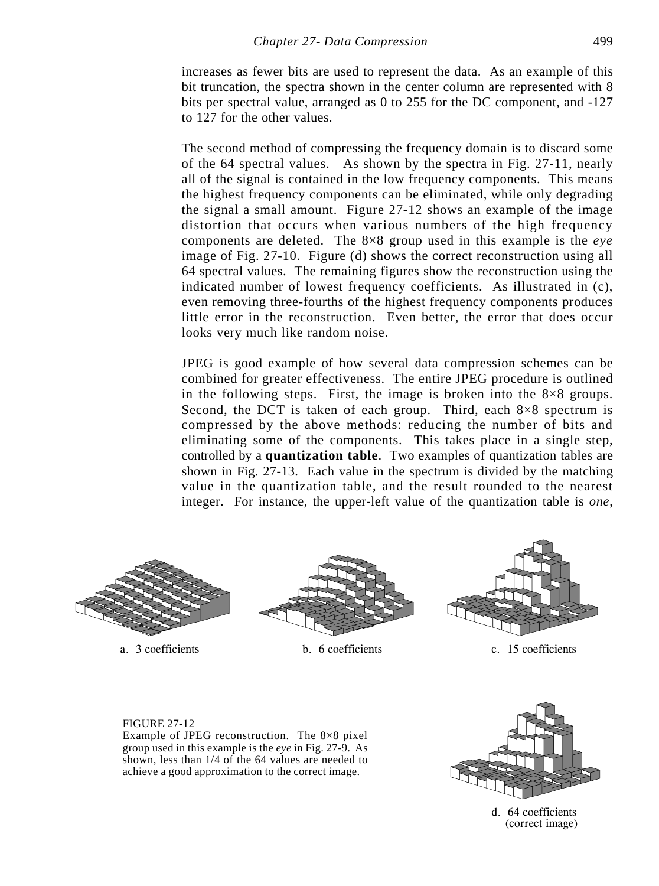increases as fewer bits are used to represent the data. As an example of this bit truncation, the spectra shown in the center column are represented with 8 bits per spectral value, arranged as 0 to 255 for the DC component, and -127 to 127 for the other values.

The second method of compressing the frequency domain is to discard some of the 64 spectral values. As shown by the spectra in Fig. 27-11, nearly all of the signal is contained in the low frequency components. This means the highest frequency components can be eliminated, while only degrading the signal a small amount. Figure 27-12 shows an example of the image distortion that occurs when various numbers of the high frequency components are deleted. The 8×8 group used in this example is the *eye* image of Fig. 27-10. Figure (d) shows the correct reconstruction using all 64 spectral values. The remaining figures show the reconstruction using the indicated number of lowest frequency coefficients. As illustrated in (c), even removing three-fourths of the highest frequency components produces little error in the reconstruction. Even better, the error that does occur looks very much like random noise.

JPEG is good example of how several data compression schemes can be combined for greater effectiveness. The entire JPEG procedure is outlined in the following steps. First, the image is broken into the  $8\times8$  groups. Second, the DCT is taken of each group. Third, each 8×8 spectrum is compressed by the above methods: reducing the number of bits and eliminating some of the components. This takes place in a single step, controlled by a **quantization table**. Two examples of quantization tables are shown in Fig. 27-13. Each value in the spectrum is divided by the matching value in the quantization table, and the result rounded to the nearest integer. For instance, the upper-left value of the quantization table is *one*,





a. 3 coefficients b. 6 coefficients c. 15 coefficients



### FIGURE 27-12

Example of JPEG reconstruction. The 8×8 pixel group used in this example is the *eye* in Fig. 27-9. As shown, less than 1/4 of the 64 values are needed to achieve a good approximation to the correct image.



d. 64 coefficients (correct image)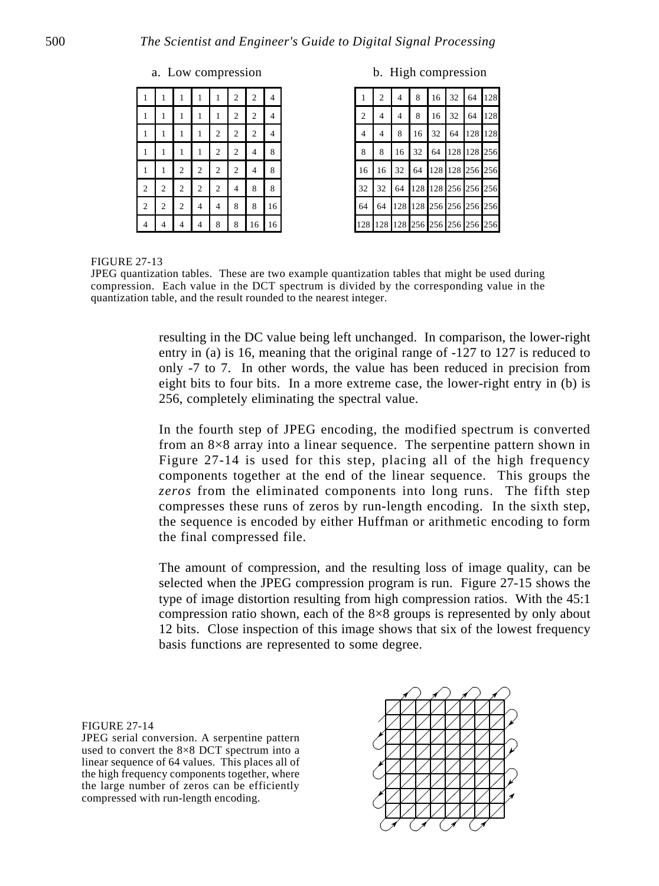| 1              | 1 | 1              | 1              | 1              | $\overline{c}$ | $\overline{c}$ | 4           |
|----------------|---|----------------|----------------|----------------|----------------|----------------|-------------|
| 1              |   | 1              |                | 1              | 2              | $\overline{c}$ | 4           |
| 1              | 1 | 1              | 1              | 2              | 2              | 2              | 4           |
|                |   |                |                | $\overline{2}$ | 2              | 4              | 8           |
| 1              | l | 2              | 2              | $\overline{2}$ | 2              | 4              | $\,$ 8 $\,$ |
| $\overline{c}$ | 2 | $\overline{2}$ | $\overline{2}$ | $\overline{2}$ | 4              | 8              | 8           |
| 2              | 2 | 2              | 4              | 4              | 8              | 8              | 16          |
|                |   | 4              | 4              | 8              | 8              | 16             | 16          |



|  |  | $1 \quad 2 \quad 4 \quad 8 \quad 16 \quad 32 \quad 64 \quad 128$ |  |
|--|--|------------------------------------------------------------------|--|
|  |  | 2 4 4 8 16 32 64 128                                             |  |
|  |  | 4 4 8 16 32 64 128 128                                           |  |
|  |  | 8 8 16 32 64 128 128 256                                         |  |
|  |  | 16 16 32 64 128 128 256 256                                      |  |
|  |  | 32 32 64 128 128 256 256 256                                     |  |
|  |  | 64 64 128 128 256 256 256 256                                    |  |
|  |  | 128 128 128 256 256 256 256 256                                  |  |

### FIGURE 27-13

JPEG quantization tables. These are two example quantization tables that might be used during compression. Each value in the DCT spectrum is divided by the corresponding value in the quantization table, and the result rounded to the nearest integer.

resulting in the DC value being left unchanged. In comparison, the lower-right entry in (a) is 16, meaning that the original range of -127 to 127 is reduced to only -7 to 7. In other words, the value has been reduced in precision from eight bits to four bits. In a more extreme case, the lower-right entry in (b) is 256, completely eliminating the spectral value.

In the fourth step of JPEG encoding, the modified spectrum is converted from an  $8\times 8$  array into a linear sequence. The serpentine pattern shown in Figure 27-14 is used for this step, placing all of the high frequency components together at the end of the linear sequence. This groups the *zeros* from the eliminated components into long runs. The fifth step compresses these runs of zeros by run-length encoding. In the sixth step, the sequence is encoded by either Huffman or arithmetic encoding to form the final compressed file.

The amount of compression, and the resulting loss of image quality, can be selected when the JPEG compression program is run. Figure 27-15 shows the type of image distortion resulting from high compression ratios. With the 45:1 compression ratio shown, each of the 8×8 groups is represented by only about 12 bits. Close inspection of this image shows that six of the lowest frequency basis functions are represented to some degree.

### FIGURE 27-14



JPEG serial conversion. A serpentine pattern used to convert the 8×8 DCT spectrum into a linear sequence of 64 values. This places all of the high frequency components together, where the large number of zeros can be efficiently compressed with run-length encoding.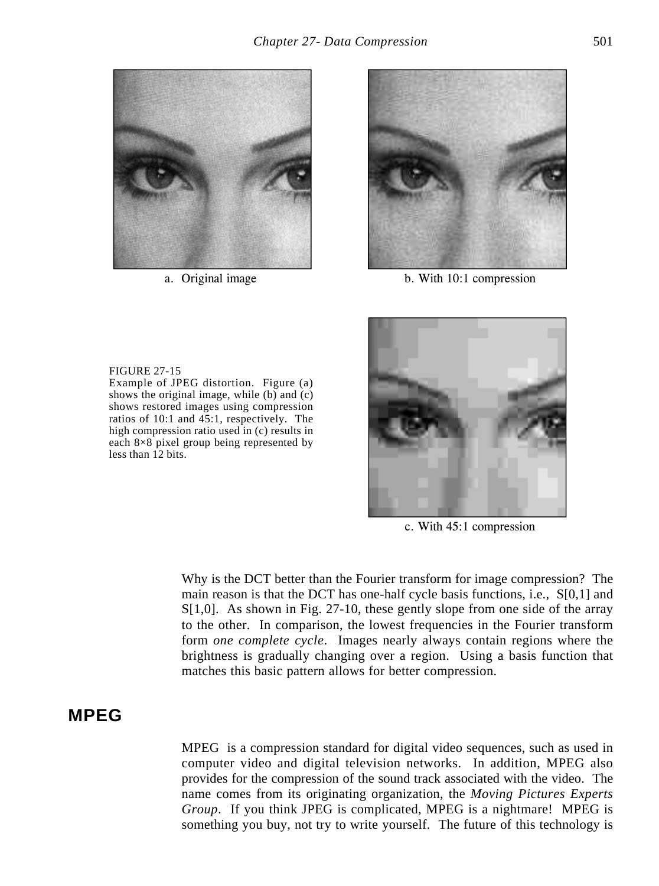

Example of JPEG distortion. Figure (a) shows the original image, while (b) and (c) shows restored images using compression ratios of 10:1 and 45:1, respectively. The high compression ratio used in (c) results in each 8×8 pixel group being represented by

FIGURE 27-15

less than 12 bits.



a. Original image b. With 10:1 compression

c. With 45:1 compression

Why is the DCT better than the Fourier transform for image compression? The main reason is that the DCT has one-half cycle basis functions, i.e., S[0,1] and S[1,0]. As shown in Fig. 27-10, these gently slope from one side of the array to the other. In comparison, the lowest frequencies in the Fourier transform form *one complete cycle*. Images nearly always contain regions where the brightness is gradually changing over a region. Using a basis function that matches this basic pattern allows for better compression.

# **MPEG**

MPEG is a compression standard for digital video sequences, such as used in computer video and digital television networks. In addition, MPEG also provides for the compression of the sound track associated with the video. The name comes from its originating organization, the *Moving Pictures Experts Group*. If you think JPEG is complicated, MPEG is a nightmare! MPEG is something you buy, not try to write yourself. The future of this technology is